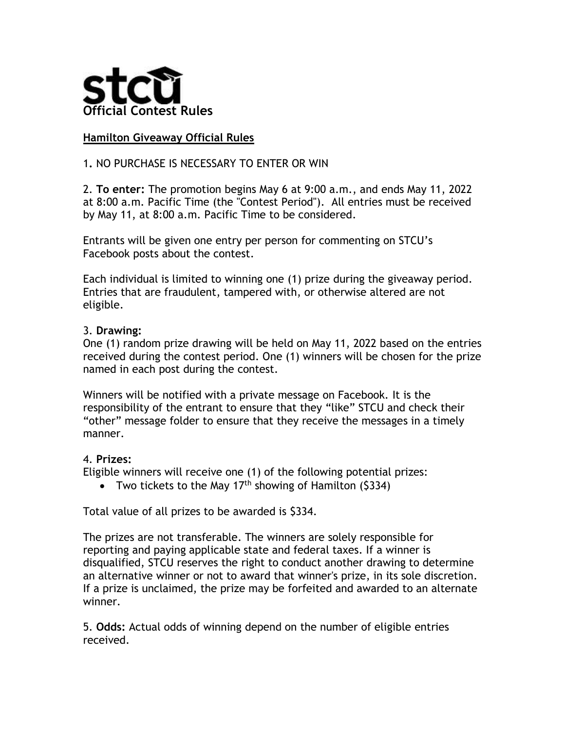

## **Hamilton Giveaway Official Rules**

## 1**.** NO PURCHASE IS NECESSARY TO ENTER OR WIN

2. **To enter:** The promotion begins May 6 at 9:00 a.m., and ends May 11, 2022 at 8:00 a.m. Pacific Time (the "Contest Period"). All entries must be received by May 11, at 8:00 a.m. Pacific Time to be considered.

Entrants will be given one entry per person for commenting on STCU's Facebook posts about the contest.

Each individual is limited to winning one (1) prize during the giveaway period. Entries that are fraudulent, tampered with, or otherwise altered are not eligible.

## 3. **Drawing:**

One (1) random prize drawing will be held on May 11, 2022 based on the entries received during the contest period. One (1) winners will be chosen for the prize named in each post during the contest.

Winners will be notified with a private message on Facebook. It is the responsibility of the entrant to ensure that they "like" STCU and check their "other" message folder to ensure that they receive the messages in a timely manner.

## 4. **Prizes:**

Eligible winners will receive one (1) of the following potential prizes:

• Two tickets to the May  $17<sup>th</sup>$  showing of Hamilton (\$334)

Total value of all prizes to be awarded is \$334.

The prizes are not transferable. The winners are solely responsible for reporting and paying applicable state and federal taxes. If a winner is disqualified, STCU reserves the right to conduct another drawing to determine an alternative winner or not to award that winner's prize, in its sole discretion. If a prize is unclaimed, the prize may be forfeited and awarded to an alternate winner.

5. **Odds:** Actual odds of winning depend on the number of eligible entries received.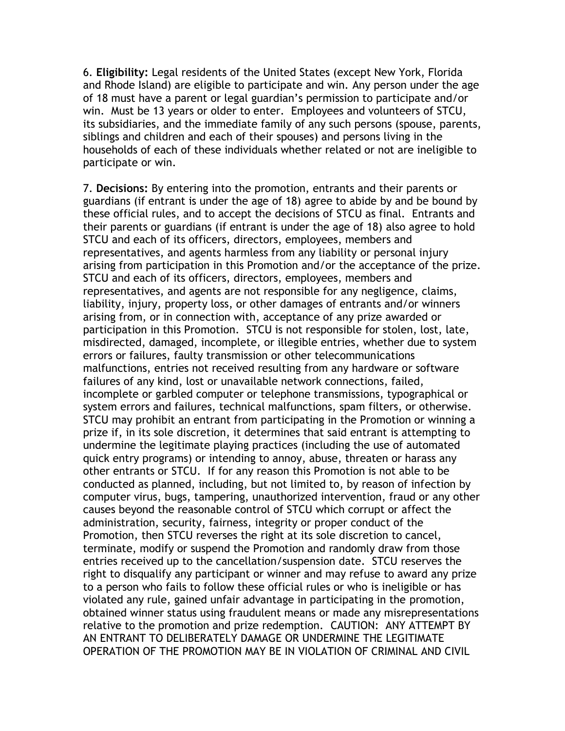6. **Eligibility:** Legal residents of the United States (except New York, Florida and Rhode Island) are eligible to participate and win. Any person under the age of 18 must have a parent or legal guardian's permission to participate and/or win. Must be 13 years or older to enter. Employees and volunteers of STCU, its subsidiaries, and the immediate family of any such persons (spouse, parents, siblings and children and each of their spouses) and persons living in the households of each of these individuals whether related or not are ineligible to participate or win.

7. **Decisions:** By entering into the promotion, entrants and their parents or guardians (if entrant is under the age of 18) agree to abide by and be bound by these official rules, and to accept the decisions of STCU as final. Entrants and their parents or guardians (if entrant is under the age of 18) also agree to hold STCU and each of its officers, directors, employees, members and representatives, and agents harmless from any liability or personal injury arising from participation in this Promotion and/or the acceptance of the prize. STCU and each of its officers, directors, employees, members and representatives, and agents are not responsible for any negligence, claims, liability, injury, property loss, or other damages of entrants and/or winners arising from, or in connection with, acceptance of any prize awarded or participation in this Promotion. STCU is not responsible for stolen, lost, late, misdirected, damaged, incomplete, or illegible entries, whether due to system errors or failures, faulty transmission or other telecommunications malfunctions, entries not received resulting from any hardware or software failures of any kind, lost or unavailable network connections, failed, incomplete or garbled computer or telephone transmissions, typographical or system errors and failures, technical malfunctions, spam filters, or otherwise. STCU may prohibit an entrant from participating in the Promotion or winning a prize if, in its sole discretion, it determines that said entrant is attempting to undermine the legitimate playing practices (including the use of automated quick entry programs) or intending to annoy, abuse, threaten or harass any other entrants or STCU. If for any reason this Promotion is not able to be conducted as planned, including, but not limited to, by reason of infection by computer virus, bugs, tampering, unauthorized intervention, fraud or any other causes beyond the reasonable control of STCU which corrupt or affect the administration, security, fairness, integrity or proper conduct of the Promotion, then STCU reverses the right at its sole discretion to cancel, terminate, modify or suspend the Promotion and randomly draw from those entries received up to the cancellation/suspension date. STCU reserves the right to disqualify any participant or winner and may refuse to award any prize to a person who fails to follow these official rules or who is ineligible or has violated any rule, gained unfair advantage in participating in the promotion, obtained winner status using fraudulent means or made any misrepresentations relative to the promotion and prize redemption. CAUTION: ANY ATTEMPT BY AN ENTRANT TO DELIBERATELY DAMAGE OR UNDERMINE THE LEGITIMATE OPERATION OF THE PROMOTION MAY BE IN VIOLATION OF CRIMINAL AND CIVIL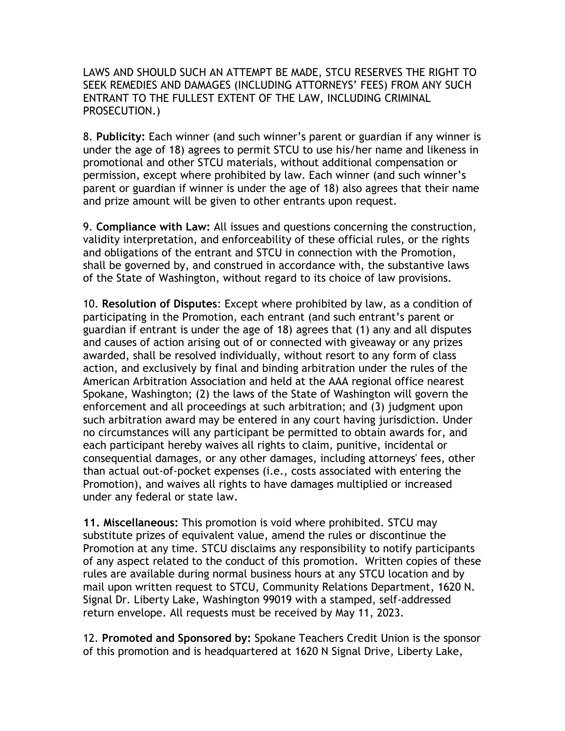LAWS AND SHOULD SUCH AN ATTEMPT BE MADE, STCU RESERVES THE RIGHT TO SEEK REMEDIES AND DAMAGES (INCLUDING ATTORNEYS' FEES) FROM ANY SUCH ENTRANT TO THE FULLEST EXTENT OF THE LAW, INCLUDING CRIMINAL PROSECUTION.)

8. **Publicity:** Each winner (and such winner's parent or guardian if any winner is under the age of 18) agrees to permit STCU to use his/her name and likeness in promotional and other STCU materials, without additional compensation or permission, except where prohibited by law. Each winner (and such winner's parent or guardian if winner is under the age of 18) also agrees that their name and prize amount will be given to other entrants upon request.

9. **Compliance with Law:** All issues and questions concerning the construction, validity interpretation, and enforceability of these official rules, or the rights and obligations of the entrant and STCU in connection with the Promotion, shall be governed by, and construed in accordance with, the substantive laws of the State of Washington, without regard to its choice of law provisions.

10. **Resolution of Disputes**: Except where prohibited by law, as a condition of participating in the Promotion, each entrant (and such entrant's parent or guardian if entrant is under the age of 18) agrees that (1) any and all disputes and causes of action arising out of or connected with giveaway or any prizes awarded, shall be resolved individually, without resort to any form of class action, and exclusively by final and binding arbitration under the rules of the American Arbitration Association and held at the AAA regional office nearest Spokane, Washington; (2) the laws of the State of Washington will govern the enforcement and all proceedings at such arbitration; and (3) judgment upon such arbitration award may be entered in any court having jurisdiction. Under no circumstances will any participant be permitted to obtain awards for, and each participant hereby waives all rights to claim, punitive, incidental or consequential damages, or any other damages, including attorneys' fees, other than actual out-of-pocket expenses (i.e., costs associated with entering the Promotion), and waives all rights to have damages multiplied or increased under any federal or state law.

**11. Miscellaneous:** This promotion is void where prohibited. STCU may substitute prizes of equivalent value, amend the rules or discontinue the Promotion at any time. STCU disclaims any responsibility to notify participants of any aspect related to the conduct of this promotion. Written copies of these rules are available during normal business hours at any STCU location and by mail upon written request to STCU, Community Relations Department, 1620 N. Signal Dr. Liberty Lake, Washington 99019 with a stamped, self-addressed return envelope. All requests must be received by May 11, 2023.

12. **Promoted and Sponsored by:** Spokane Teachers Credit Union is the sponsor of this promotion and is headquartered at 1620 N Signal Drive, Liberty Lake,